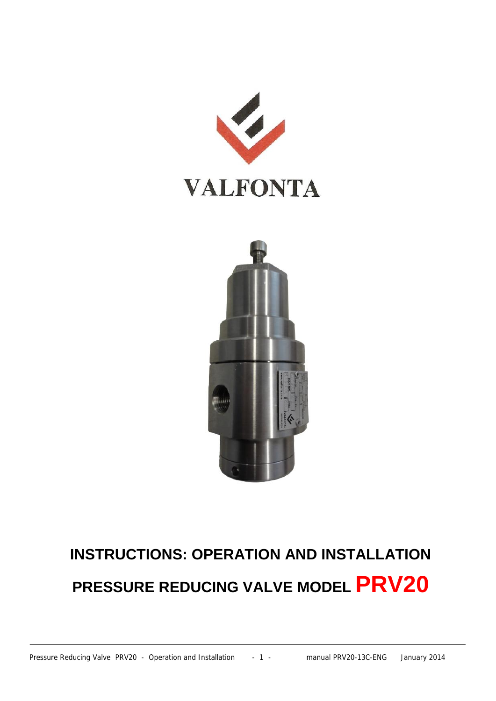



# **INSTRUCTIONS: OPERATION AND INSTALLATION PRESSURE REDUCING VALVE MODEL PRV20**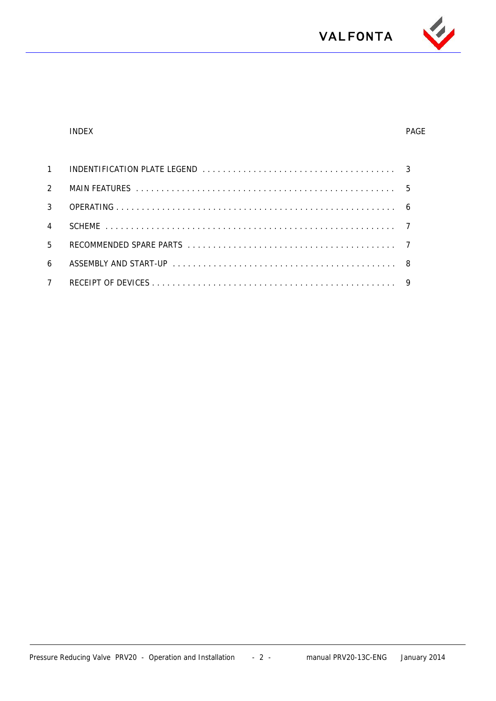

#### INDEX PAGE

| .5             |  |
|----------------|--|
| $\overline{a}$ |  |
|                |  |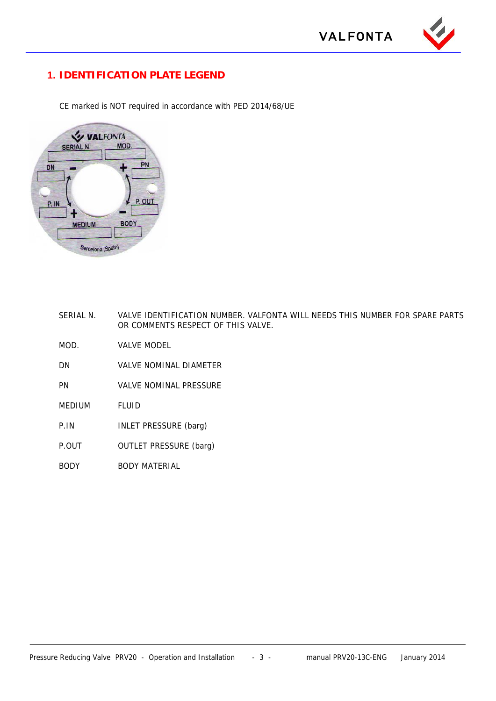

### **1. IDENTIFICATION PLATE LEGEND**

CE marked is NOT required in accordance with PED 2014/68/UE



- SERIAL N. VALVE IDENTIFICATION NUMBER. VALFONTA WILL NEEDS THIS NUMBER FOR SPARE PARTS OR COMMENTS RESPECT OF THIS VALVE.
- MOD. VALVE MODEL
- DN VALVE NOMINAL DIAMETER
- PN VALVE NOMINAL PRESSURE
- MEDIUM FLUID
- P.IN **INLET PRESSURE** (barg)
- P.OUT OUTLET PRESSURE (barg)
- BODY BODY MATERIAL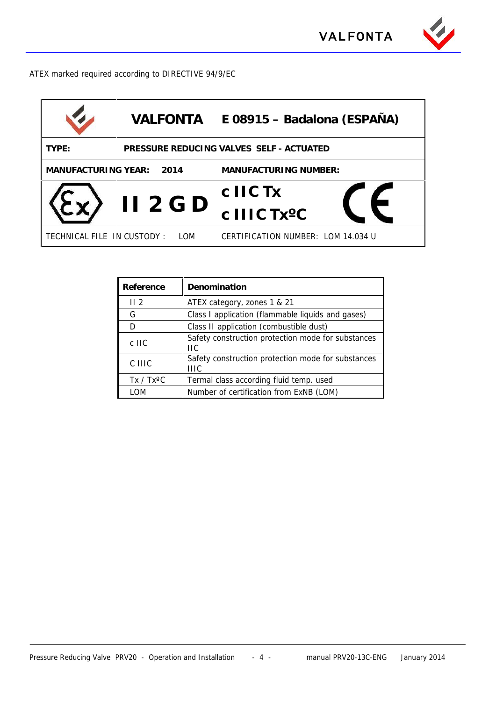

ATEX marked required according to DIRECTIVE 94/9/EC

| <b>VALFONTA</b>                                   | E 08915 – Badalona (ESPAÑA)        |  |  |  |
|---------------------------------------------------|------------------------------------|--|--|--|
| PRESSURE REDUCING VALVES SELF - ACTUATED<br>TYPE: |                                    |  |  |  |
| MANUFACTURING YEAR:<br>2014                       | MANUFACTURING NUMBER:              |  |  |  |
|                                                   | c IIC Tx                           |  |  |  |
| $II$ 2 G D                                        | c IIIC Tx <sup>o</sup> C           |  |  |  |
| TECHNICAL FILE IN CUSTODY:<br>LOM                 | CERTIFICATION NUMBER: LOM 14.034 U |  |  |  |

| Reference          | Denomination                                               |  |
|--------------------|------------------------------------------------------------|--|
| II <sub>2</sub>    | ATEX category, zones 1 & 21                                |  |
| G                  | Class I application (flammable liquids and gases)          |  |
| D                  | Class II application (combustible dust)                    |  |
| $c$ IIC            | Safety construction protection mode for substances<br>ПC   |  |
| C IIIC             | Safety construction protection mode for substances<br>HIC. |  |
| $Tx / Tx^{\circ}C$ | Termal class according fluid temp. used                    |  |
| I OM               | Number of certification from ExNB (LOM)                    |  |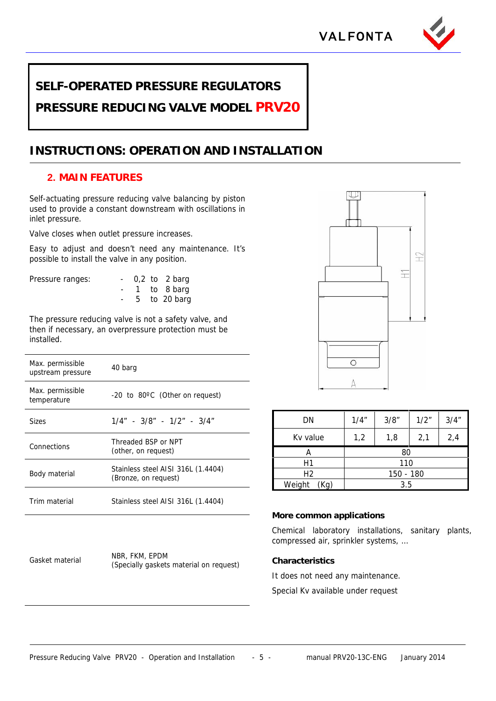



### **SELF-OPERATED PRESSURE REGULATORS**

**PRESSURE REDUCING VALVE MODEL PRV20**

## **INSTRUCTIONS: OPERATION AND INSTALLATION**

### **2. MAIN FEATURES**

Self-actuating pressure reducing valve balancing by piston used to provide a constant downstream with oscillations in inlet pressure.

Valve closes when outlet pressure increases.

Easy to adjust and doesn't need any maintenance. It's possible to install the valve in any position.

Pressure ranges:

| $\overline{\phantom{0}}$ |  | $0.2$ to 2 barg |  |
|--------------------------|--|-----------------|--|
| $\sim$                   |  | 1 to 8 barg     |  |
| $\overline{\phantom{a}}$ |  | 5 to 20 barg    |  |

The pressure reducing valve is not a safety valve, and then if necessary, an overpressure protection must be installed.

| Max. permissible<br>upstream pressure | 40 barg                                                    |  |  |
|---------------------------------------|------------------------------------------------------------|--|--|
| Max. permissible<br>temperature       | $-20$ to 80 $\degree$ C (Other on request)                 |  |  |
| <b>Sizes</b>                          | $1/4" - 3/8" - 1/2" - 3/4"$                                |  |  |
| Connections                           | Threaded BSP or NPT<br>(other, on request)                 |  |  |
| Body material                         | Stainless steel AISI 316L (1.4404)<br>(Bronze, on request) |  |  |
| Trim material                         | Stainless steel AISI 316L (1.4404)                         |  |  |

Gasket material NBR, FKM, EPDM (Specially gaskets material on request)



| DN             | 1/4"      | 3/8" | 1/2" | 3/4'' |
|----------------|-----------|------|------|-------|
| Kv value       | 1,2       | 1,8  | 2,1  | 2,4   |
|                | 80        |      |      |       |
| Η1             | 110       |      |      |       |
| H <sub>2</sub> | 150 - 180 |      |      |       |
| Weight<br>Kg)  | 3.5       |      |      |       |

### **More common applications**

Chemical laboratory installations, sanitary plants, compressed air, sprinkler systems, …

**Characteristics**

It does not need any maintenance.

Special Kv available under request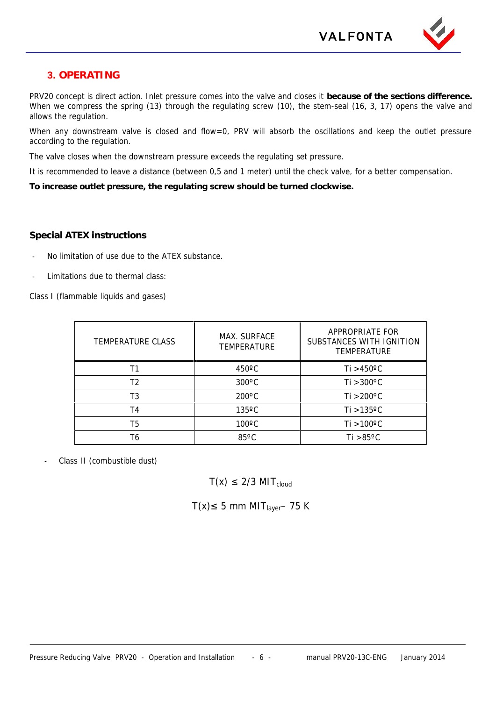

### **3. OPERATING**

PRV20 concept is direct action. Inlet pressure comes into the valve and closes it **because of the sections difference.** When we compress the spring (13) through the regulating screw (10), the stem-seal (16, 3, 17) opens the valve and allows the regulation.

When any downstream valve is closed and flow=0, PRV will absorb the oscillations and keep the outlet pressure according to the regulation.

The valve closes when the downstream pressure exceeds the regulating set pressure.

It is recommended to leave a distance (between 0,5 and 1 meter) until the check valve, for a better compensation.

**To increase outlet pressure, the regulating screw should be turned clockwise.**

### **Special ATEX instructions**

- No limitation of use due to the ATEX substance.
- Limitations due to thermal class:

Class I (flammable liquids and gases)

| TEMPERATURE CLASS | MAX. SURFACE<br><b>TEMPERATURE</b> | APPROPRIATE FOR<br>SUBSTANCES WITH IGNITION<br><b>TEMPERATURE</b> |
|-------------------|------------------------------------|-------------------------------------------------------------------|
|                   | $450^{\circ}$ C                    | Ti $>450^{\circ}$ C                                               |
| T <sub>2</sub>    | $300^{\circ}$ C                    | $Ti > 300^{\circ}C$                                               |
| T3                | $200^{\circ}$ C                    | $Ti > 200^{\circ}C$                                               |
| T4                | $135^{\circ}$ C                    | Ti $>135^{\circ}$ C                                               |
| T5                | $100^{\circ}$ C                    | Ti >100°C                                                         |
| Τ6                | $85^{\circ}$ C                     | Ti $>85^{\circ}$ C                                                |

- Class II (combustible dust)
- $T(x)$  2/3 MIT<sub>cloud</sub>

 $T(x)$  5 mm MIT<sub>laver</sub>– 75 K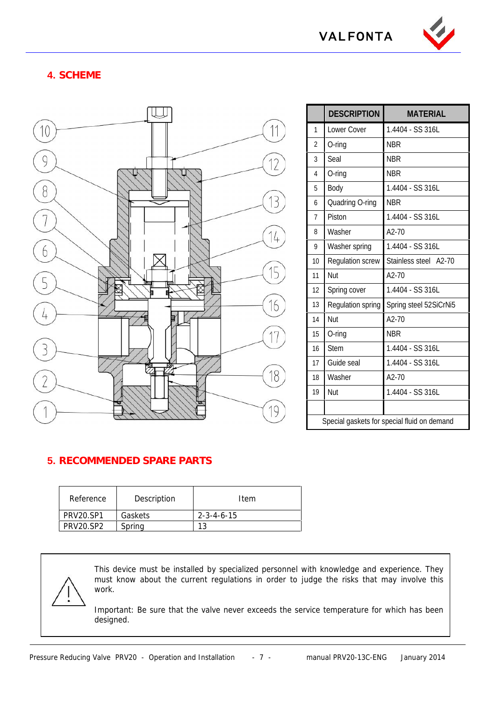

### **4. SCHEME**



|                                             | <b>DESCRIPTION</b>       | <b>MATERIAL</b>        |  |
|---------------------------------------------|--------------------------|------------------------|--|
| $\mathbf{1}$                                | Lower Cover              | 1.4404 - SS 316L       |  |
| $\overline{2}$                              | $O$ -ring                | <b>NBR</b>             |  |
| 3                                           | Seal                     | <b>NBR</b>             |  |
| 4                                           | $O$ -ring                | <b>NBR</b>             |  |
| 5                                           | Body                     | 1.4404 - SS 316L       |  |
| 6                                           | Quadring O-ring          | <b>NBR</b>             |  |
| $\overline{7}$                              | Piston                   | 1.4404 - SS 316L       |  |
| 8                                           | Washer                   | $A2-70$                |  |
| 9                                           | Washer spring            | 1.4404 - SS 316L       |  |
| 10                                          | <b>Regulation screw</b>  | Stainless steel A2-70  |  |
| 11                                          | Nut                      | $A2-70$                |  |
| 12                                          | Spring cover             | 1.4404 - SS 316L       |  |
| 13                                          | <b>Regulation spring</b> | Spring steel 52SiCrNi5 |  |
| 14                                          | Nut                      | $A2-70$                |  |
| 15                                          | O-ring                   | <b>NBR</b>             |  |
| 16                                          | <b>Stem</b>              | 1.4404 - SS 316L       |  |
| 17                                          | Guide seal               | 1.4404 - SS 316L       |  |
| 18                                          | Washer                   | A2-70                  |  |
| 19                                          | Nut                      | 1.4404 - SS 316L       |  |
|                                             |                          |                        |  |
| Special gaskets for special fluid on demand |                          |                        |  |

### **5. RECOMMENDED SPARE PARTS**

| Reference        | Description | Item                 |
|------------------|-------------|----------------------|
| <b>PRV20.SP1</b> | Gaskets     | $2 - 3 - 4 - 6 - 15$ |
| <b>PRV20.SP2</b> | Spring      |                      |

This device must be installed by specialized personnel with knowledge and experience. They must know about the current regulations in order to judge the risks that may involve this work.

Important: Be sure that the valve never exceeds the service temperature for which has been designed.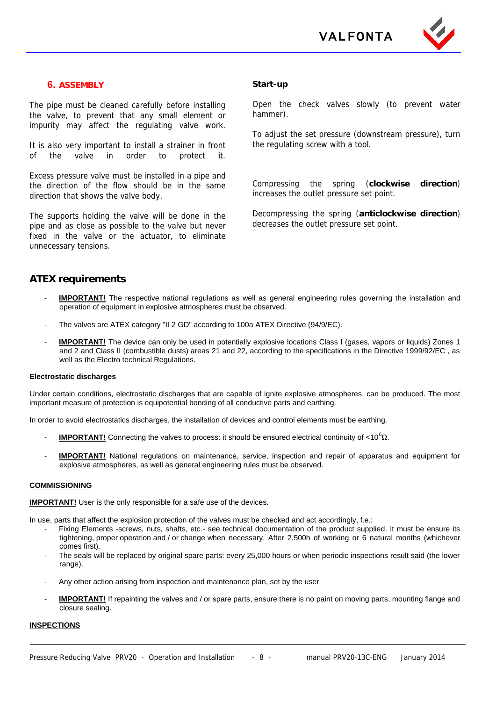

### **6. ASSEMBLY**

The pipe must be cleaned carefully before installing the valve, to prevent that any small element or impurity may affect the regulating valve work.

It is also very important to install a strainer in front of the valve in order to protect it.

Excess pressure valve must be installed in a pipe and<br>the direction of the flow should be in the same Compressing the direction of the flow should be in the same direction that shows the valve body.

The supports holding the valve will be done in the pipe and as close as possible to the valve but never fixed in the valve or the actuator, to eliminate unnecessary tensions.

#### **Start-up**

Open the check valves slowly (to prevent water hammer).

To adjust the set pressure (downstream pressure), turn the regulating screw with a tool.

the spring (**clockwise** direction) increases the outlet pressure set point.

Decompressing the spring (**anticlockwise direction**) decreases the outlet pressure set point.

#### **ATEX requirements**

- **IMPORTANT!** The respective national regulations as well as general engineering rules governing the installation and operation of equipment in explosive atmospheres must be observed.
- The valves are ATEX category "II 2 GD" according to 100a ATEX Directive (94/9/EC).
- **IMPORTANT!** The device can only be used in potentially explosive locations Class I (gases, vapors or liquids) Zones 1 and 2 and Class II (combustible dusts) areas 21 and 22, according to the specifications in the Directive 1999/92/EC , as well as the Electro technical Regulations.

#### **Electrostatic discharges**

Under certain conditions, electrostatic discharges that are capable of ignite explosive atmospheres, can be produced. The most important measure of protection is equipotential bonding of all conductive parts and earthing.

In order to avoid electrostatics discharges, the installation of devices and control elements must be earthing.

- **IMPORTANT!** Connecting the valves to process: it should be ensured electrical continuity of <10<sup>6</sup>.
- **IMPORTANT!** National regulations on maintenance, service, inspection and repair of apparatus and equipment for explosive atmospheres, as well as general engineering rules must be observed.

#### **COMMISSIONING**

**IMPORTANT!** User is the only responsible for a safe use of the devices.

In use, parts that affect the explosion protection of the valves must be checked and act accordingly, f.e.:

- Fixing Elements -screws, nuts, shafts, etc.- see technical documentation of the product supplied. It must be ensure its tightening, proper operation and / or change when necessary. After 2.500h of working or 6 natural months (whichever comes first).
- The seals will be replaced by original spare parts: every 25,000 hours or when periodic inspections result said (the lower range).
- Any other action arising from inspection and maintenance plan, set by the user
- **IMPORTANT!** If repainting the valves and / or spare parts, ensure there is no paint on moving parts, mounting flange and closure sealing.

#### **INSPECTIONS**